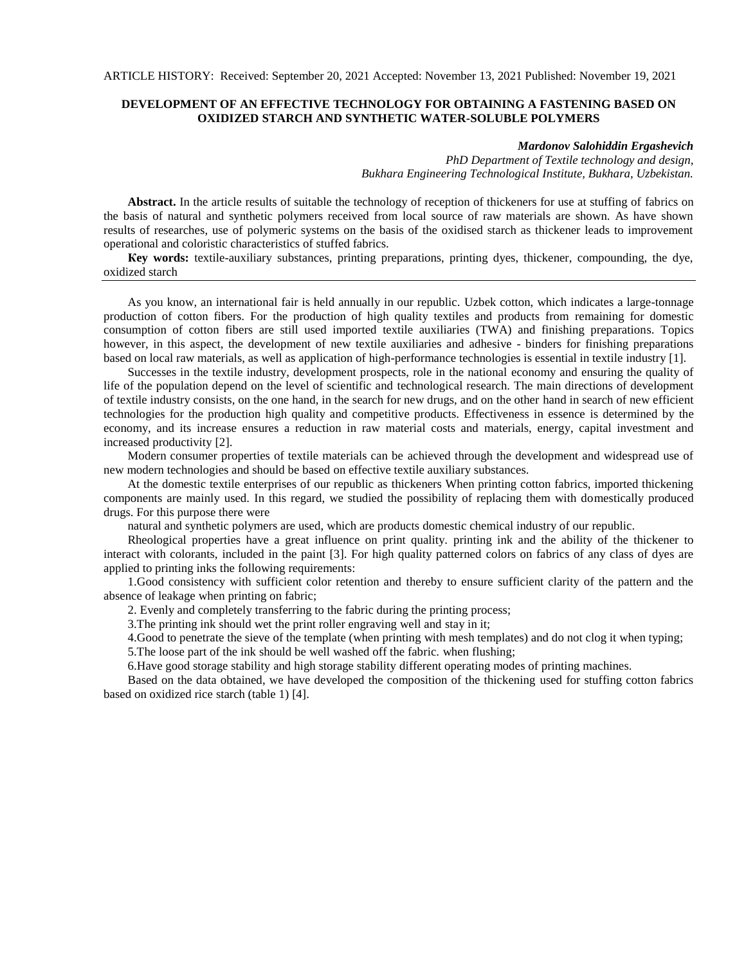## **DEVELOPMENT OF AN EFFECTIVE TECHNOLOGY FOR OBTAINING A FASTENING BASED ON OXIDIZED STARCH AND SYNTHETIC WATER-SOLUBLE POLYMERS**

## *Mardonov Salohiddin Ergashevich*

*PhD Department of Textile technology and design, Bukhara Engineering Technological Institute, Bukhara, Uzbekistan.*

**Abstract.** In the article results of suitable the technology of reception of thickeners for use at stuffing of fabrics on the basis of natural and synthetic polymers received from local source of raw materials are shown. As have shown results of researches, use of polymeric systems on the basis of the oxidised starch as thickener leads to improvement operational and coloristic characteristics of stuffed fabrics.

**Кey words:** textile-auxiliary substances, printing preparations, printing dyes, thickener, compounding, the dye, oxidized starch

As you know, an international fair is held annually in our republic. Uzbek cotton, which indicates a large-tonnage production of cotton fibers. For the production of high quality textiles and products from remaining for domestic consumption of cotton fibers are still used imported textile auxiliaries (TWA) and finishing preparations. Topics however, in this aspect, the development of new textile auxiliaries and adhesive - binders for finishing preparations based on local raw materials, as well as application of high-performance technologies is essential in textile industry [1].

Successes in the textile industry, development prospects, role in the national economy and ensuring the quality of life of the population depend on the level of scientific and technological research. The main directions of development of textile industry consists, on the one hand, in the search for new drugs, and on the other hand in search of new efficient technologies for the production high quality and competitive products. Effectiveness in essence is determined by the economy, and its increase ensures a reduction in raw material costs and materials, energy, capital investment and increased productivity [2].

Modern consumer properties of textile materials can be achieved through the development and widespread use of new modern technologies and should be based on effective textile auxiliary substances.

At the domestic textile enterprises of our republic as thickeners When printing cotton fabrics, imported thickening components are mainly used. In this regard, we studied the possibility of replacing them with domestically produced drugs. For this purpose there were

natural and synthetic polymers are used, which are products domestic chemical industry of our republic.

Rheological properties have a great influence on print quality. printing ink and the ability of the thickener to interact with colorants, included in the paint [3]. For high quality patterned colors on fabrics of any class of dyes are applied to printing inks the following requirements:

1.Good consistency with sufficient color retention and thereby to ensure sufficient clarity of the pattern and the absence of leakage when printing on fabric;

2. Evenly and completely transferring to the fabric during the printing process;

3.The printing ink should wet the print roller engraving well and stay in it;

4.Good to penetrate the sieve of the template (when printing with mesh templates) and do not clog it when typing;

5.The loose part of the ink should be well washed off the fabric. when flushing;

6.Have good storage stability and high storage stability different operating modes of printing machines.

Based on the data obtained, we have developed the composition of the thickening used for stuffing cotton fabrics based on oxidized rice starch (table 1) [4].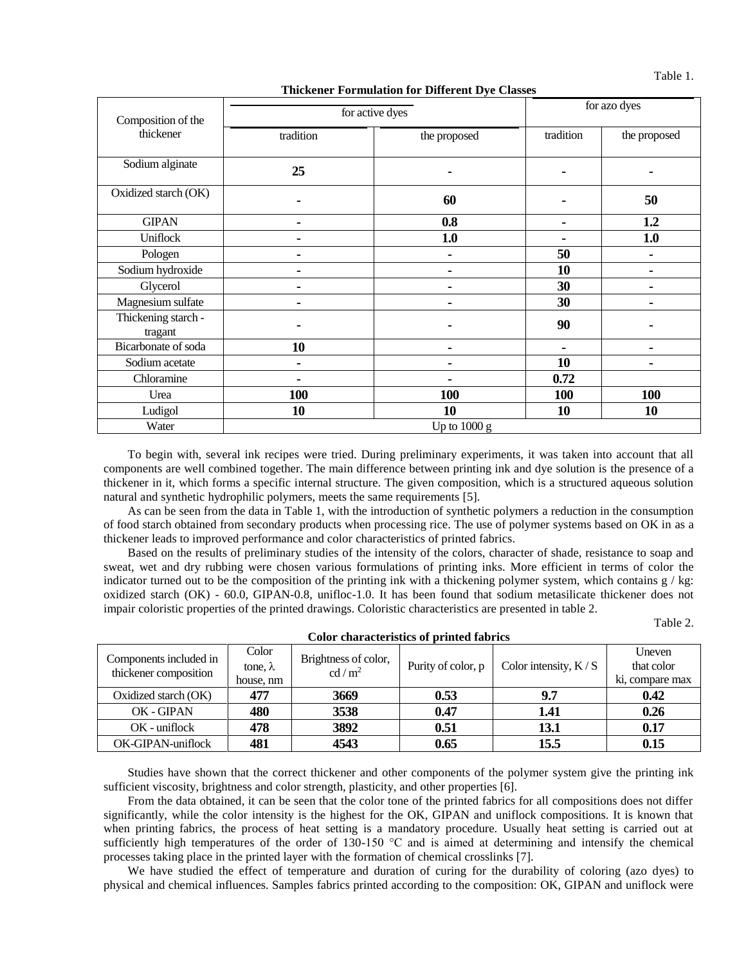Table 1.

**Thickener Formulation for Different Dye Classes**

| Composition of the             | for active dyes | for azo dyes |            |              |  |  |  |
|--------------------------------|-----------------|--------------|------------|--------------|--|--|--|
| thickener                      | tradition       | the proposed | tradition  | the proposed |  |  |  |
| Sodium alginate                | 25              |              |            |              |  |  |  |
| Oxidized starch (OK)           | ۰               | 60           |            | 50           |  |  |  |
| <b>GIPAN</b>                   | ۰               | 0.8          |            | 1.2          |  |  |  |
| Uniflock                       |                 | 1.0          |            | 1.0          |  |  |  |
| Pologen                        |                 |              | 50         |              |  |  |  |
| Sodium hydroxide               |                 |              | 10         |              |  |  |  |
| Glycerol                       |                 |              | 30         |              |  |  |  |
| Magnesium sulfate              |                 |              | 30         |              |  |  |  |
| Thickening starch -<br>tragant |                 |              | 90         |              |  |  |  |
| Bicarbonate of soda            | 10              |              |            |              |  |  |  |
| Sodium acetate                 | ۰               |              | 10         |              |  |  |  |
| Chloramine                     | ÷               |              | 0.72       |              |  |  |  |
| Urea                           | 100             | 100          | <b>100</b> | 100          |  |  |  |
| Ludigol                        | <b>10</b>       | 10           | 10         | 10           |  |  |  |
| Water                          | Up to $1000 g$  |              |            |              |  |  |  |

To begin with, several ink recipes were tried. During preliminary experiments, it was taken into account that all components are well combined together. The main difference between printing ink and dye solution is the presence of a thickener in it, which forms a specific internal structure. The given composition, which is a structured aqueous solution natural and synthetic hydrophilic polymers, meets the same requirements [5].

As can be seen from the data in Table 1, with the introduction of synthetic polymers a reduction in the consumption of food starch obtained from secondary products when processing rice. The use of polymer systems based on OK in as a thickener leads to improved performance and color characteristics of printed fabrics.

Based on the results of preliminary studies of the intensity of the colors, character of shade, resistance to soap and sweat, wet and dry rubbing were chosen various formulations of printing inks. More efficient in terms of color the indicator turned out to be the composition of the printing ink with a thickening polymer system, which contains  $g / kg$ : oxidized starch (OK) - 60.0, GIPAN-0.8, unifloc-1.0. It has been found that sodium metasilicate thickener does not impair coloristic properties of the printed drawings. Coloristic characteristics are presented in table 2.

Table 2.

| Color characteristics of printed fabrics        |                 |                                           |                    |                        |                 |  |  |  |
|-------------------------------------------------|-----------------|-------------------------------------------|--------------------|------------------------|-----------------|--|--|--|
| Components included in<br>thickener composition | Color           |                                           | Purity of color, p |                        | Uneven          |  |  |  |
|                                                 | tone, $\lambda$ | Brightness of color,<br>cd/m <sup>2</sup> |                    | Color intensity, $K/S$ | that color      |  |  |  |
|                                                 | house, nm       |                                           |                    |                        | ki, compare max |  |  |  |
| Oxidized starch (OK)                            | 477             | 3669                                      | 0.53               | 9.7                    | 0.42            |  |  |  |
| OK - GIPAN                                      | 480             | 3538                                      | 0.47               | 1.41                   | 0.26            |  |  |  |
| $OK$ - uniflock                                 | 478             | 3892                                      | 0.51               | 13.1                   | 0.17            |  |  |  |
| OK-GIPAN-uniflock                               | 481             | 4543                                      | 0.65               | 15.5                   | 0.15            |  |  |  |

Studies have shown that the correct thickener and other components of the polymer system give the printing ink sufficient viscosity, brightness and color strength, plasticity, and other properties [6].

From the data obtained, it can be seen that the color tone of the printed fabrics for all compositions does not differ significantly, while the color intensity is the highest for the OK, GIPAN and uniflock compositions. It is known that when printing fabrics, the process of heat setting is a mandatory procedure. Usually heat setting is carried out at sufficiently high temperatures of the order of 130-150 °C and is aimed at determining and intensify the chemical processes taking place in the printed layer with the formation of chemical crosslinks [7].

We have studied the effect of temperature and duration of curing for the durability of coloring (azo dyes) to physical and chemical influences. Samples fabrics printed according to the composition: OK, GIPAN and uniflock were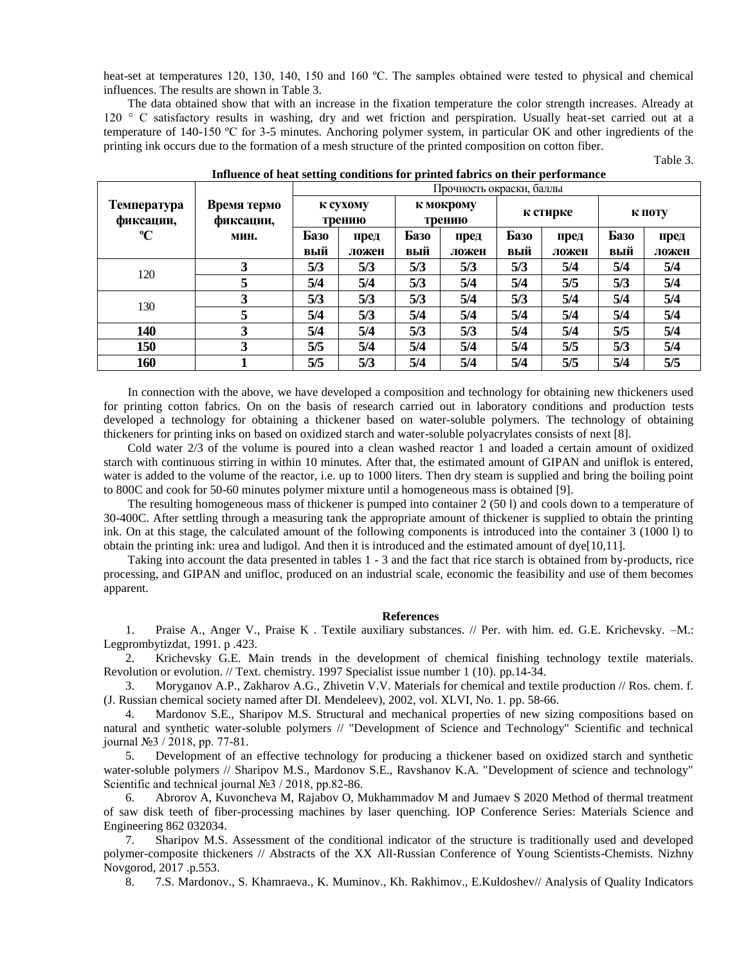heat-set at temperatures 120, 130, 140, 150 and 160 °C. The samples obtained were tested to physical and chemical influences. The results are shown in Table 3.

The data obtained show that with an increase in the fixation temperature the color strength increases. Already at 120 ° C satisfactory results in washing, dry and wet friction and perspiration. Usually heat-set carried out at a temperature of 140-150 ºС for 3-5 minutes. Anchoring polymer system, in particular OK and other ingredients of the printing ink occurs due to the formation of a mesh structure of the printed composition on cotton fiber.

|                                 | Время термо<br>фиксации, | ັ<br>Прочность окраски, баллы |               |                     |               |             |               |             |               |
|---------------------------------|--------------------------|-------------------------------|---------------|---------------------|---------------|-------------|---------------|-------------|---------------|
| <b>Температура</b><br>фиксации, |                          | к сухому<br>трению            |               | к мокрому<br>трению |               | к стирке    |               | К ПОТУ      |               |
| $\rm ^oC$                       | мин.                     | Базо<br>вый                   | пред<br>ложен | Базо<br>вый         | пред<br>ложен | Базо<br>вый | пред<br>ложен | Базо<br>вый | пред<br>ложен |
| 120                             | 3                        | 5/3                           | 5/3           | 5/3                 | 5/3           | 5/3         | 5/4           | 5/4         | 5/4           |
|                                 | 5                        | 5/4                           | 5/4           | 5/3                 | 5/4           | 5/4         | 5/5           | 5/3         | 5/4           |
| 130                             | 3                        | 5/3                           | 5/3           | 5/3                 | 5/4           | 5/3         | 5/4           | 5/4         | 5/4           |
|                                 | 5                        | 5/4                           | 5/3           | 5/4                 | 5/4           | 5/4         | 5/4           | 5/4         | 5/4           |
| 140                             | 3                        | 5/4                           | 5/4           | 5/3                 | 5/3           | 5/4         | 5/4           | 5/5         | 5/4           |
| 150                             | 3                        | 5/5                           | 5/4           | 5/4                 | 5/4           | 5/4         | 5/5           | 5/3         | 5/4           |
| 160                             |                          | 5/5                           | 5/3           | 5/4                 | 5/4           | 5/4         | 5/5           | 5/4         | 5/5           |

**Influence of heat setting conditions for printed fabrics on their performance**

Table 3.

In connection with the above, we have developed a composition and technology for obtaining new thickeners used for printing cotton fabrics. On on the basis of research carried out in laboratory conditions and production tests developed a technology for obtaining a thickener based on water-soluble polymers. The technology of obtaining thickeners for printing inks on based on oxidized starch and water-soluble polyacrylates consists of next [8].

Cold water 2/3 of the volume is poured into a clean washed reactor 1 and loaded a certain amount of oxidized starch with continuous stirring in within 10 minutes. After that, the estimated amount of GIPAN and uniflok is entered, water is added to the volume of the reactor, i.e. up to 1000 liters. Then dry steam is supplied and bring the boiling point to 800C and cook for 50-60 minutes polymer mixture until a homogeneous mass is obtained [9].

The resulting homogeneous mass of thickener is pumped into container 2 (50 l) and cools down to a temperature of 30-400C. After settling through a measuring tank the appropriate amount of thickener is supplied to obtain the printing ink. On at this stage, the calculated amount of the following components is introduced into the container 3 (1000 l) to obtain the printing ink: urea and ludigol. And then it is introduced and the estimated amount of dye[10,11].

Taking into account the data presented in tables 1 - 3 and the fact that rice starch is obtained from by-products, rice processing, and GIPAN and unifloc, produced on an industrial scale, economic the feasibility and use of them becomes apparent.

## **References**

1. Praise A., Anger V., Praise K . Textile auxiliary substances. // Per. with him. ed. G.E. Krichevsky. –M.: Legprombytizdat, 1991. p .423.

2. Krichevsky G.E. Main trends in the development of chemical finishing technology textile materials. Revolution or evolution. // Text. chemistry. 1997 Specialist issue number 1 (10). pp.14-34.

3. Moryganov A.P., Zakharov A.G., Zhivetin V.V. Materials for chemical and textile production // Ros. chem. f. (J. Russian chemical society named after DI. Mendeleev), 2002, vol. XLVI, No. 1. pp. 58-66.

4. Mardonov S.E., Sharipov M.S. Structural and mechanical properties of new sizing compositions based on natural and synthetic water-soluble polymers // "Development of Science and Technology" Scientific and technical journal №3 / 2018, pp. 77-81.

5. Development of an effective technology for producing a thickener based on oxidized starch and synthetic water-soluble polymers // Sharipov M.S., Mardonov S.E., Ravshanov K.A. "Development of science and technology" Scientific and technical journal №3 / 2018, pp.82-86.

6. Abrorov A, Kuvoncheva M, Rajabov O, Mukhammadov M and Jumaev S 2020 Method of thermal treatment of saw disk teeth of fiber-processing machines by laser quenching. IOP Conference Series: Materials Science and Engineering 862 032034.

7. Sharipov M.S. Assessment of the conditional indicator of the structure is traditionally used and developed polymer-composite thickeners // Abstracts of the XX All-Russian Conference of Young Scientists-Chemists. Nizhny Novgorod, 2017 .p.553.

8. 7.S. Mardonov., S. Khamraeva., K. Muminov., Kh. Rakhimov., E.Kuldoshev// Analysis of Quality Indicators